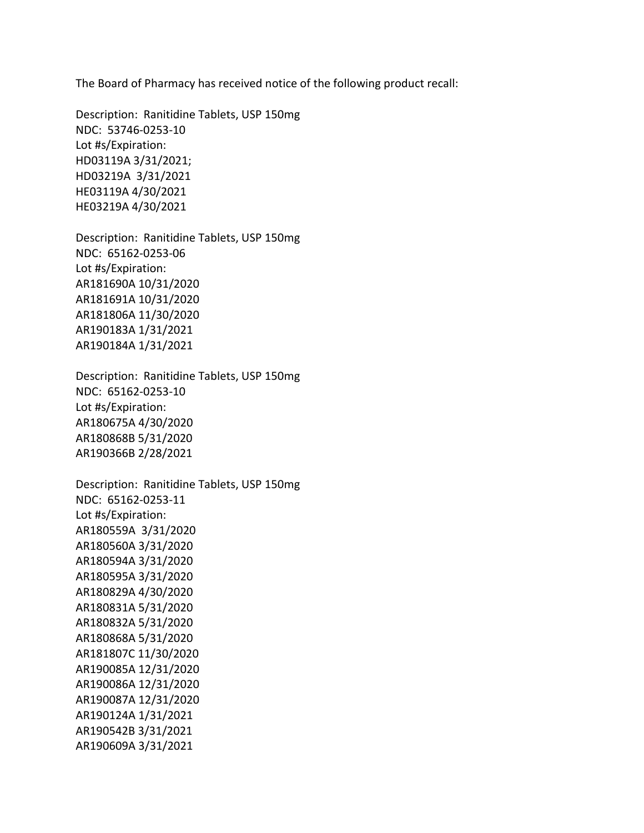The Board of Pharmacy has received notice of the following product recall:

 NDC: 53746-0253-10 HD03219A 3/31/2021 Description: Ranitidine Tablets, USP 150mg Lot #s/Expiration: HD03119A 3/31/2021; HE03119A 4/30/2021 HE03219A 4/30/2021

 NDC: 65162-0253-06 Description: Ranitidine Tablets, USP 150mg Lot #s/Expiration: AR181690A 10/31/2020 AR181691A 10/31/2020 AR181806A 11/30/2020 AR190183A 1/31/2021 AR190184A 1/31/2021

 NDC: 65162-0253-10 Description: Ranitidine Tablets, USP 150mg Lot #s/Expiration: AR180675A 4/30/2020 AR180868B 5/31/2020 AR190366B 2/28/2021

 AR180559A 3/31/2020 Description: Ranitidine Tablets, USP 150mg NDC: 65162-0253-11 Lot #s/Expiration: AR180560A 3/31/2020 AR180594A 3/31/2020 AR180595A 3/31/2020 AR180829A 4/30/2020 AR180831A 5/31/2020 AR180832A 5/31/2020 AR180868A 5/31/2020 AR181807C 11/30/2020 AR190085A 12/31/2020 AR190086A 12/31/2020 AR190087A 12/31/2020 AR190124A 1/31/2021 AR190542B 3/31/2021 AR190609A 3/31/2021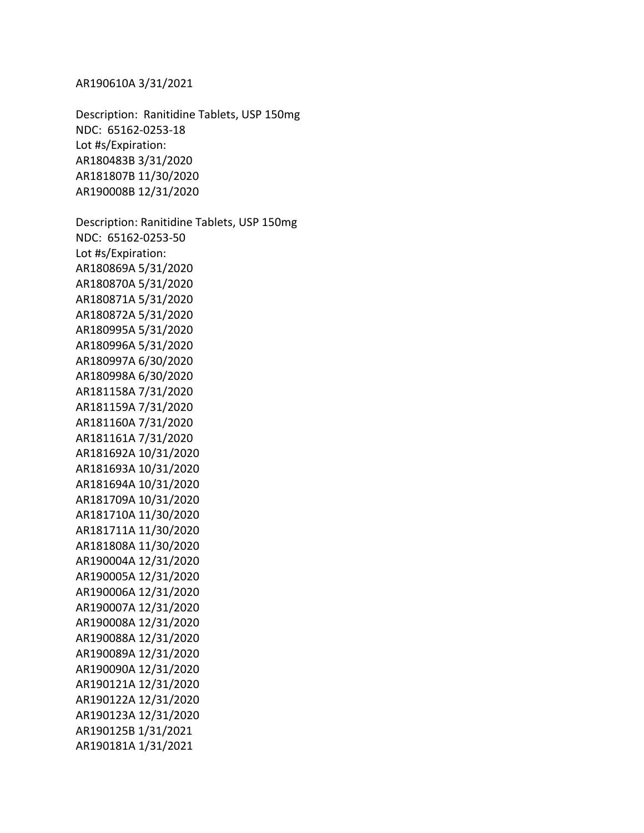NDC: 65162-0253-18 NDC: 65162-0253-50 Description: Ranitidine Tablets, USP 150mg Lot #s/Expiration: AR180483B 3/31/2020 AR181807B 11/30/2020 AR190008B 12/31/2020 Description: Ranitidine Tablets, USP 150mg Lot #s/Expiration: AR180869A 5/31/2020 AR180870A 5/31/2020 AR180871A 5/31/2020 AR180872A 5/31/2020 AR180995A 5/31/2020 AR180996A 5/31/2020 AR180997A 6/30/2020 AR180998A 6/30/2020 AR181158A 7/31/2020 AR181159A 7/31/2020 AR181160A 7/31/2020 AR181161A 7/31/2020 AR181692A 10/31/2020 AR181693A 10/31/2020 AR181694A 10/31/2020 AR181709A 10/31/2020 AR181710A 11/30/2020 AR181711A 11/30/2020 AR181808A 11/30/2020 AR190004A 12/31/2020 AR190005A 12/31/2020 AR190006A 12/31/2020 AR190007A 12/31/2020 AR190008A 12/31/2020 AR190088A 12/31/2020 AR190089A 12/31/2020 AR190090A 12/31/2020 AR190121A 12/31/2020 AR190122A 12/31/2020 AR190123A 12/31/2020 AR190125B 1/31/2021 AR190181A 1/31/2021

AR190610A 3/31/2021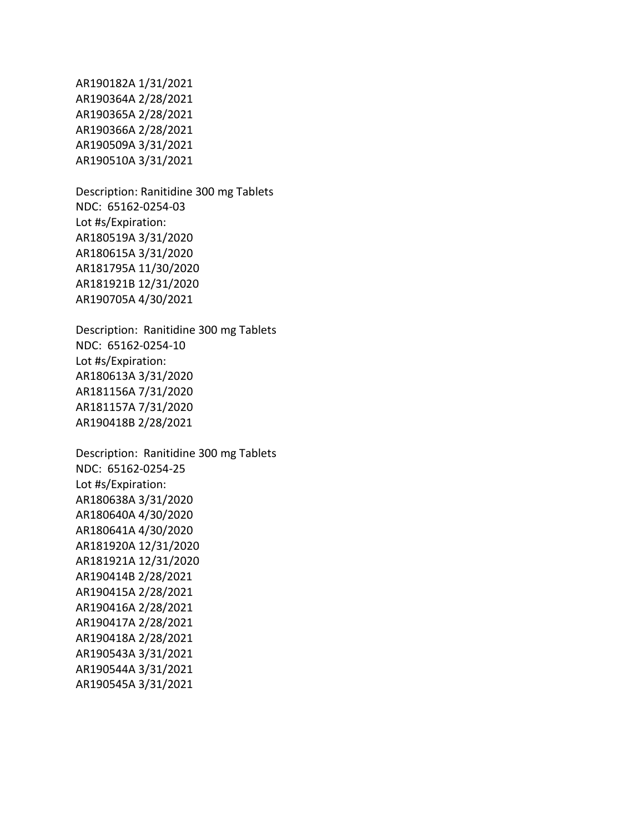AR190182A 1/31/2021 AR190364A 2/28/2021 AR190365A 2/28/2021 AR190366A 2/28/2021 AR190509A 3/31/2021 AR190510A 3/31/2021

 NDC: 65162-0254-03 Description: Ranitidine 300 mg Tablets Lot #s/Expiration: AR180519A 3/31/2020 AR180615A 3/31/2020 AR181795A 11/30/2020 AR181921B 12/31/2020 AR190705A 4/30/2021

 NDC: 65162-0254-10 Description: Ranitidine 300 mg Tablets Lot #s/Expiration: AR180613A 3/31/2020 AR181156A 7/31/2020 AR181157A 7/31/2020 AR190418B 2/28/2021

 Description: Ranitidine 300 mg Tablets NDC: 65162-0254-25 Lot #s/Expiration: AR180638A 3/31/2020 AR180640A 4/30/2020 AR180641A 4/30/2020 AR181920A 12/31/2020 AR181921A 12/31/2020 AR190414B 2/28/2021 AR190415A 2/28/2021 AR190416A 2/28/2021 AR190417A 2/28/2021 AR190418A 2/28/2021 AR190543A 3/31/2021 AR190544A 3/31/2021

AR190545A 3/31/2021